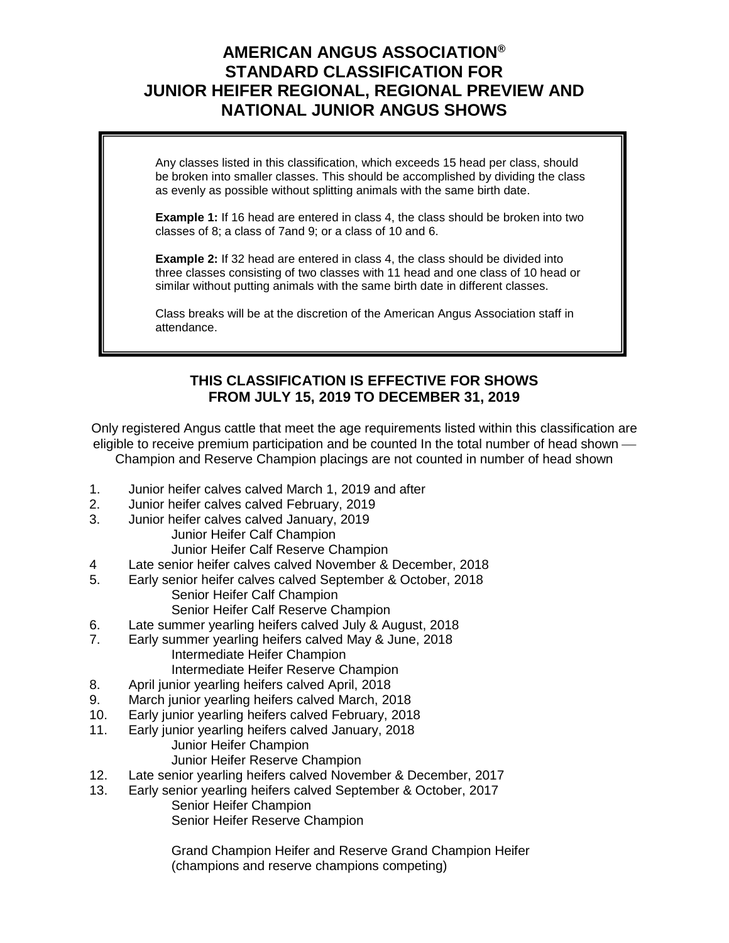## **AMERICAN ANGUS ASSOCIATION® STANDARD CLASSIFICATION FOR JUNIOR HEIFER REGIONAL, REGIONAL PREVIEW AND NATIONAL JUNIOR ANGUS SHOWS**

Any classes listed in this classification, which exceeds 15 head per class, should be broken into smaller classes. This should be accomplished by dividing the class as evenly as possible without splitting animals with the same birth date.

**Example 1:** If 16 head are entered in class 4, the class should be broken into two classes of 8; a class of 7and 9; or a class of 10 and 6.

**Example 2:** If 32 head are entered in class 4, the class should be divided into three classes consisting of two classes with 11 head and one class of 10 head or similar without putting animals with the same birth date in different classes.

Class breaks will be at the discretion of the American Angus Association staff in attendance.

## **THIS CLASSIFICATION IS EFFECTIVE FOR SHOWS FROM JULY 15, 2019 TO DECEMBER 31, 2019**

Only registered Angus cattle that meet the age requirements listed within this classification are eligible to receive premium participation and be counted In the total number of head shown  $\cdot$ Champion and Reserve Champion placings are not counted in number of head shown

- 1. Junior heifer calves calved March 1, 2019 and after
- 2. Junior heifer calves calved February, 2019
- 3. Junior heifer calves calved January, 2019 Junior Heifer Calf Champion
	- Junior Heifer Calf Reserve Champion
- 4 Late senior heifer calves calved November & December, 2018
- 5. Early senior heifer calves calved September & October, 2018
	- Senior Heifer Calf Champion
	- Senior Heifer Calf Reserve Champion
- 6. Late summer yearling heifers calved July & August, 2018
- 7. Early summer yearling heifers calved May & June, 2018 Intermediate Heifer Champion Intermediate Heifer Reserve Champion
- 8. April junior yearling heifers calved April, 2018
- 9. March junior yearling heifers calved March, 2018
- 10. Early junior yearling heifers calved February, 2018
- 11. Early junior yearling heifers calved January, 2018 Junior Heifer Champion Junior Heifer Reserve Champion
- 12. Late senior yearling heifers calved November & December, 2017
- 13. Early senior yearling heifers calved September & October, 2017 Senior Heifer Champion Senior Heifer Reserve Champion

Grand Champion Heifer and Reserve Grand Champion Heifer (champions and reserve champions competing)